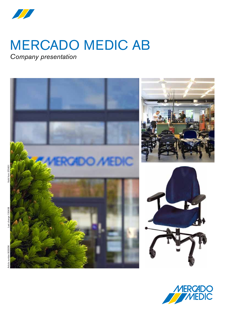

# MERCADO MEDIC AB

*Company presentation*





Valid from 070601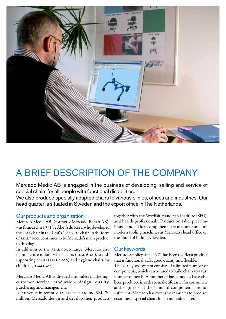

# A BRIEF DESCRIPTION OF THE COMPANY

Mercado Medic AB is engaged in the business of developing, selling and service of special chairs for all people with functional disabilities.

We also produce specially adapted chairs to various clinics, offices and industries. Our head quarter is situated in Sweden and the export office in The Netherlands.

### Our products and organization

Mercado Medic AB, (formerly Mercado Rehab AB), was founded in 1971 by Åke G du Rées, who developed the real chair in the 1960s. The real chair, in the form of real 9000, continues to be Mercado's main product to this day.

In addition to the REAL 9000 range, Mercado also manufacture indoor wheelchairs (REAL 6100), standsupporting chairs (REAL 2000) and hygiene chairs for children (TEAM LAZY).

Mercado Medic AB is divided into sales, marketing, customer service, production, design, quality, purchasing and management.

Net revenue in recent years has been around SEK 70 million. Mercado design and develop their products

together with the Swedish Handicap Institute (SHI), and health professionals. Production takes place inhouse, and all key components are manufactured on modern tooling machines at Mercado's head office on the island of Lidingö, Sweden.

#### Our keywords

Mercado's policy since 1971 has been to offer a product that is functional, safe, good quality and flexible. The REAL 9000 system consists of a limited number of components, which can be used to build chairs to a vast number of needs. A number of basic models have also been produced in order to make life easier for consumers and engineers. If the standard components are not sufficient, Mercado has extensive resources to produce customised special chairs for an individual user.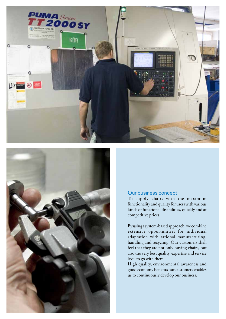



#### Our business concept

To supply chairs with the maximum functionality and quality for users with various kinds of functional disabilities, quickly and at competitive prices.

By using a system-based approach, we combine extensive opportunities for individual adaptation with rational manufacturing, handling and recycling. Our customers shall feel that they are not only buying chairs, but also the very best quality, expertise and service level to go with them.

High quality, environmental awareness and good economy benefits our customers enables us to continuously develop our business.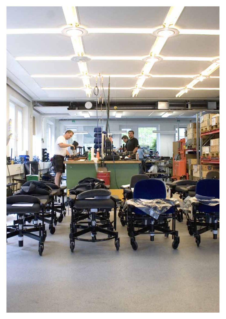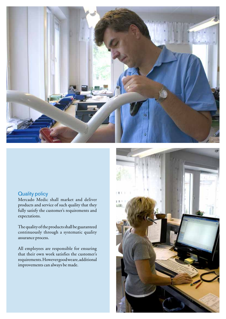

# Quality policy

Mercado Medic shall market and deliver products and service of such quality that they fully satisfy the customer's requirements and expectations.

The quality of the products shall be guaranteed continuously through a systematic quality assurance process.

All employees are responsible for ensuring that their own work satisfies the customer's requirements. However good we are, additional improvements can always be made.

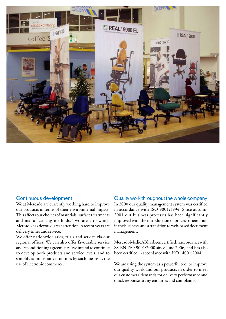

#### Continuous development

We at Mercado are currently working hard to improve our products in terms of their environmental impact. This affects our choices of materials, surface treatments and manufacturing methods. Two areas to which Mercado has devoted great attention in recent years are delivery times and service.

We offer nationwide sales, trials and service via our regional offices. We can also offer favourable service and reconditioning agreements. We intend to continue to develop both products and service levels, and to simplify administrative routines by such means as the use of electronic commerce.

#### Quality work throughout the whole company

In 2000 our quality management system was certified in accordance with ISO 9001:1994. Since autumn 2001 our business processes has been significantly improved with the introduction of process orientation in the business, and a transition to web-based document management.

Mercado Medic AB has been certified in accordance with SS-EN ISO 9001:2000 since June 2006, and has also been certified in accordance with ISO 14001:2004.

We are using the system as a powerful tool to improve our quality work and our products in order to meet our customers' demands for delivery performance and quick response to any enquiries and complaints.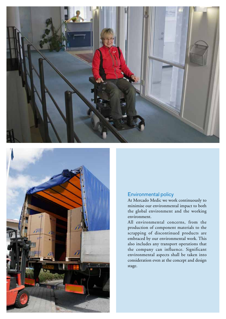



## Environmental policy

At Mercado Medic we work continuously to minimise our environmental impact to both the global environment and the working environment.

All environmental concerns, from the production of component materials to the scrapping of discontinued products are embraced by our environmental work. This also includes any transport operations that the company can influence. Significant environmental aspects shall be taken into consideration even at the concept and design stage.